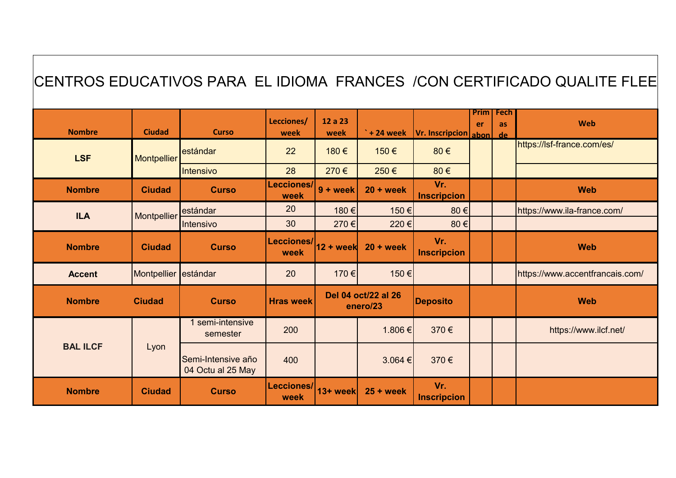| CENTROS EDUCATIVOS PARA EL IDIOMA FRANCES / CON CERTIFICADO QUALITE FLEE |                      |                                         |                    |                                 |                      |                           |                   |                         |                                 |
|--------------------------------------------------------------------------|----------------------|-----------------------------------------|--------------------|---------------------------------|----------------------|---------------------------|-------------------|-------------------------|---------------------------------|
| <b>Nombre</b>                                                            | <b>Ciudad</b>        | <b>Curso</b>                            | Lecciones/<br>week | 12 a 23<br>week                 | $^{\circ}$ + 24 week | Vr. Inscripcion abon      | <b>Prim</b><br>er | Fech<br><b>as</b><br>de | Web                             |
| <b>LSF</b>                                                               | <b>Montpellier</b>   | estándar                                | 22                 | 180€                            | 150€                 | 80€                       |                   |                         | https://lsf-france.com/es/      |
|                                                                          |                      | Intensivo                               | 28                 | 270€                            | 250€                 | 80€                       |                   |                         |                                 |
| <b>Nombre</b>                                                            | <b>Ciudad</b>        | <b>Curso</b>                            | Lecciones/<br>week | $9 + week$                      | $20 + week$          | Vr.<br><b>Inscripcion</b> |                   |                         | <b>Web</b>                      |
| <b>ILA</b>                                                               | Montpellier          | estándar                                | 20                 | 180€                            | 150€                 | 80€                       |                   |                         | https://www.ila-france.com/     |
|                                                                          |                      | Intensivo                               | 30                 | 270€                            | 220€                 | 80€                       |                   |                         |                                 |
| <b>Nombre</b>                                                            | <b>Ciudad</b>        | <b>Curso</b>                            | Lecciones/<br>week | $12 + week$                     | $20 + week$          | Vr.<br><b>Inscripcion</b> |                   |                         | <b>Web</b>                      |
| <b>Accent</b>                                                            | Montpellier estándar |                                         | 20                 | 170 €                           | 150€                 |                           |                   |                         | https://www.accentfrancais.com/ |
| <b>Nombre</b>                                                            | <b>Ciudad</b>        | <b>Curso</b>                            | <b>Hras week</b>   | Del 04 oct/22 al 26<br>enero/23 |                      | <b>Deposito</b>           |                   |                         | <b>Web</b>                      |
| <b>BAL ILCF</b>                                                          | Lyon                 | 1 semi-intensive<br>semester            | 200                |                                 | 1.806€               | 370€                      |                   |                         | https://www.ilcf.net/           |
|                                                                          |                      | Semi-Intensive año<br>04 Octu al 25 May | 400                |                                 | 3.064 €              | 370€                      |                   |                         |                                 |
| <b>Nombre</b>                                                            | <b>Ciudad</b>        | <b>Curso</b>                            | Lecciones/<br>week | 13+ week                        | $25 + week$          | Vr.<br><b>Inscripcion</b> |                   |                         |                                 |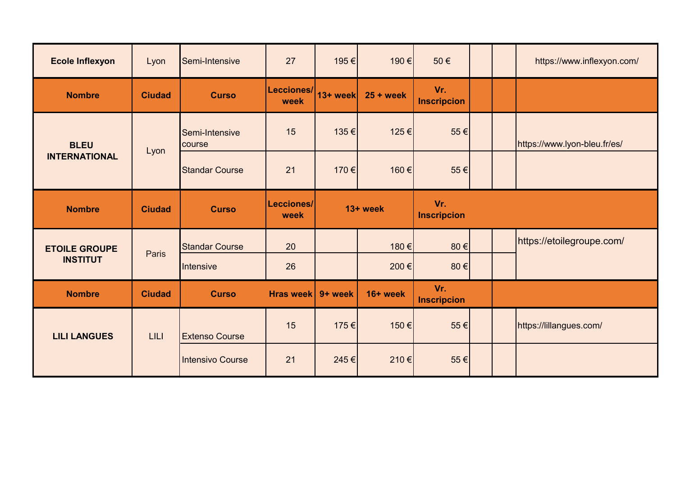| <b>Ecole Inflexyon</b>                  | Lyon          | Semi-Intensive           | 27                 | 195 €    | 190 €       | 50€                       |  | https://www.inflexyon.com/   |
|-----------------------------------------|---------------|--------------------------|--------------------|----------|-------------|---------------------------|--|------------------------------|
| <b>Nombre</b>                           | <b>Ciudad</b> | <b>Curso</b>             | Lecciones/<br>week | 13+ week | $25 + week$ | Vr.<br><b>Inscripcion</b> |  |                              |
| <b>BLEU</b><br><b>INTERNATIONAL</b>     | Lyon          | Semi-Intensive<br>course | 15                 | 135 €    | 125€        | 55 €                      |  | https://www.lyon-bleu.fr/es/ |
|                                         |               | <b>Standar Course</b>    | 21                 | 170 €    | 160€        | 55€                       |  |                              |
| <b>Nombre</b>                           | <b>Ciudad</b> | <b>Curso</b>             | Lecciones/<br>week | 13+ week |             | Vr.<br><b>Inscripcion</b> |  |                              |
| <b>ETOILE GROUPE</b><br><b>INSTITUT</b> | Paris         | <b>Standar Course</b>    | 20                 |          | 180€        | 80€                       |  | https://etoilegroupe.com/    |
|                                         |               | Intensive                | 26                 |          | 200€        | 80€                       |  |                              |
| <b>Nombre</b>                           | <b>Ciudad</b> | <b>Curso</b>             | <b>Hras week</b>   | 9+ week  | 16+ week    | Vr.<br><b>Inscripcion</b> |  |                              |
| <b>LILI LANGUES</b>                     | <b>LILI</b>   | <b>Extenso Course</b>    | 15                 | 175 €    | 150€        | 55€                       |  | https://lillangues.com/      |
|                                         |               | <b>Intensivo Course</b>  | 21                 | 245€     | 210€        | 55 €                      |  |                              |